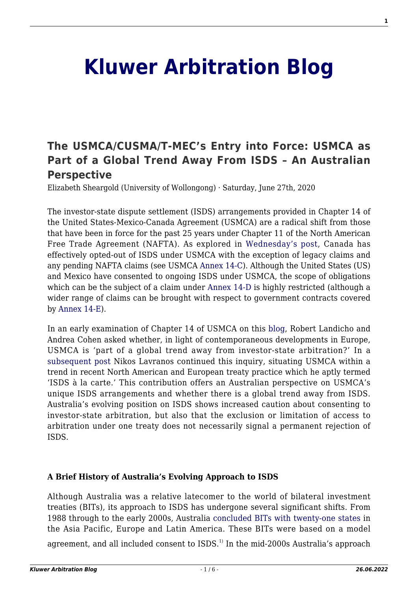# **[Kluwer Arbitration Blog](http://arbitrationblog.kluwerarbitration.com/)**

# **[The USMCA/CUSMA/T-MEC's Entry into Force: USMCA as](http://arbitrationblog.kluwerarbitration.com/2020/06/27/the-usmca-cusma-t-mecs-entry-into-force-usmca-as-part-of-a-global-trend-away-from-isds-an-australian-perspective/) [Part of a Global Trend Away From ISDS – An Australian](http://arbitrationblog.kluwerarbitration.com/2020/06/27/the-usmca-cusma-t-mecs-entry-into-force-usmca-as-part-of-a-global-trend-away-from-isds-an-australian-perspective/) [Perspective](http://arbitrationblog.kluwerarbitration.com/2020/06/27/the-usmca-cusma-t-mecs-entry-into-force-usmca-as-part-of-a-global-trend-away-from-isds-an-australian-perspective/)**

Elizabeth Sheargold (University of Wollongong) · Saturday, June 27th, 2020

The investor-state dispute settlement (ISDS) arrangements provided in Chapter 14 of the United States-Mexico-Canada Agreement (USMCA) are a radical shift from those that have been in force for the past 25 years under Chapter 11 of the North American Free Trade Agreement (NAFTA). As explored in [Wednesday's post,](http://arbitrationblog.kluwerarbitration.com/2020/06/24/the-usmca-cusma-t-mecs-entry-into-force-save-the-date-july-1-2023-canada-is-out-legacy-investors-get-your-investment-claims-in/?doing_wp_cron=1593062410.5033409595489501953125) Canada has effectively opted-out of ISDS under USMCA with the exception of legacy claims and any pending NAFTA claims (see USMCA [Annex 14-C\)](https://ustr.gov/sites/default/files/files/agreements/FTA/USMCA/Text/14-Investment.pdf#page=18). Although the United States (US) and Mexico have consented to ongoing ISDS under USMCA, the scope of obligations which can be the subject of a claim under [Annex 14-D](https://ustr.gov/sites/default/files/files/agreements/FTA/USMCA/Text/14-Investment.pdf#page=20) is highly restricted (although a wider range of claims can be brought with respect to government contracts covered by [Annex 14-E\)](https://ustr.gov/sites/default/files/files/agreements/FTA/USMCA/Text/14-Investment.pdf#page=38).

In an early examination of Chapter 14 of USMCA on this [blog](http://arbitrationblog.kluwerarbitration.com/2018/10/05/whats-in-a-name-change-for-investment-claims-under-the-new-usmca-instead-of-nafta-nearly-everything/?doing_wp_cron=1591676236.0765919685363769531250), Robert Landicho and Andrea Cohen asked whether, in light of contemporaneous developments in Europe, USMCA is 'part of a global trend away from investor-state arbitration?' In a [subsequent post](http://arbitrationblog.kluwerarbitration.com/2018/10/08/beyond-usmca-isds-la-carte/?doing_wp_cron=1591771908.0552899837493896484375) Nikos Lavranos continued this inquiry, situating USMCA within a trend in recent North American and European treaty practice which he aptly termed 'ISDS à la carte.' This contribution offers an Australian perspective on USMCA's unique ISDS arrangements and whether there is a global trend away from ISDS. Australia's evolving position on ISDS shows increased caution about consenting to investor-state arbitration, but also that the exclusion or limitation of access to arbitration under one treaty does not necessarily signal a permanent rejection of ISDS.

#### **A Brief History of Australia's Evolving Approach to ISDS**

Although Australia was a relative latecomer to the world of bilateral investment treaties (BITs), its approach to ISDS has undergone several significant shifts. From 1988 through to the early 2000s, Australia [concluded BITs with twenty-one states](https://www.dfat.gov.au/trade/investment/Pages/australias-bilateral-investment-treaties) in the Asia Pacific, Europe and Latin America. These BITs were based on a model

agreement, and all included consent to ISDS.<sup>1)</sup> In the mid-2000s Australia's approach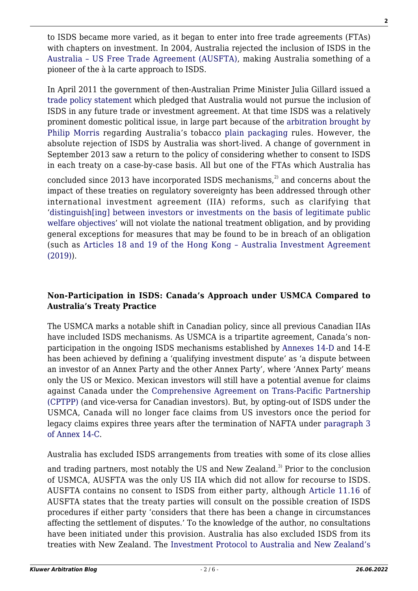to ISDS became more varied, as it began to enter into free trade agreements (FTAs) with chapters on investment. In 2004, Australia rejected the inclusion of ISDS in the [Australia – US Free Trade Agreement \(AUSFTA\)](https://www.dfat.gov.au/about-us/publications/trade-investment/australia-united-states-free-trade-agreement/Pages/chapter-eleven-investment), making Australia something of a pioneer of the à la carte approach to ISDS.

In April 2011 the government of then-Australian Prime Minister Julia Gillard issued a [trade policy statement](https://web.archive.org.au/awa/20110502020942mp_/http:/pandora.nla.gov.au/pan/126547/20110502-1209/www.dfat.gov.au/publications/trade/trading-our-way-to-more-jobs-and-prosperity.pdf#page=16) which pledged that Australia would not pursue the inclusion of ISDS in any future trade or investment agreement. At that time ISDS was a relatively prominent domestic political issue, in large part because of the [arbitration brought by](https://www.italaw.com/cases/851) [Philip Morris](https://www.italaw.com/cases/851) regarding Australia's tobacco [plain packaging](http://www.kluwerarbitration.com/document/kli-kipl-ieem-2019-009-n?q=plain%20packaging) rules. However, the absolute rejection of ISDS by Australia was short-lived. A change of government in September 2013 saw a return to the policy of considering whether to consent to ISDS in each treaty on a case-by-case basis. All but one of the FTAs which Australia has

concluded since 2013 have incorporated ISDS mechanisms, $^{2}$  and concerns about the impact of these treaties on regulatory sovereignty has been addressed through other international investment agreement (IIA) reforms, such as clarifying that '[distinguish\[ing\] between investors or investments on the basis of legitimate public](https://www.dfat.gov.au/sites/default/files/iacepa-chapter-14-investment.pdf#page=4) [welfare objectives](https://www.dfat.gov.au/sites/default/files/iacepa-chapter-14-investment.pdf#page=4)' will not violate the national treatment obligation, and by providing general exceptions for measures that may be found to be in breach of an obligation (such as [Articles 18 and 19 of the Hong Kong – Australia Investment Agreement](https://investmentpolicy.unctad.org/international-investment-agreements/treaty-files/5830/download#page=16) [\(2019\)](https://investmentpolicy.unctad.org/international-investment-agreements/treaty-files/5830/download#page=16)).

# **Non-Participation in ISDS: Canada's Approach under USMCA Compared to Australia's Treaty Practice**

The USMCA marks a notable shift in Canadian policy, since all previous Canadian IIAs have included ISDS mechanisms. As USMCA is a tripartite agreement, Canada's nonparticipation in the ongoing ISDS mechanisms established by [Annexes 14-D](https://ustr.gov/sites/default/files/files/agreements/FTA/USMCA/Text/14-Investment.pdf#page=20) and 14-E has been achieved by defining a 'qualifying investment dispute' as 'a dispute between an investor of an Annex Party and the other Annex Party', where 'Annex Party' means only the US or Mexico. Mexican investors will still have a potential avenue for claims against Canada under the [Comprehensive Agreement on Trans-Pacific Partnership](https://www.dfat.gov.au/sites/default/files/9-investment.pdf#page=19) [\(CPTPP\)](https://www.dfat.gov.au/sites/default/files/9-investment.pdf#page=19) (and vice-versa for Canadian investors). But, by opting-out of ISDS under the USMCA, Canada will no longer face claims from US investors once the period for legacy claims expires three years after the termination of NAFTA under [paragraph 3](https://ustr.gov/sites/default/files/files/agreements/FTA/USMCA/Text/14-Investment.pdf#page=18) [of](https://ustr.gov/sites/default/files/files/agreements/FTA/USMCA/Text/14-Investment.pdf#page=18) [Annex 14-C.](https://ustr.gov/sites/default/files/files/agreements/FTA/USMCA/Text/14-Investment.pdf#page=18)

Australia has excluded ISDS arrangements from treaties with some of its close allies

and trading partners, most notably the US and New Zealand.<sup>3)</sup> Prior to the conclusion of USMCA, AUSFTA was the only US IIA which did not allow for recourse to ISDS. AUSFTA contains no consent to ISDS from either party, although [Article 11.16](https://www.dfat.gov.au/about-us/publications/trade-investment/australia-united-states-free-trade-agreement/Pages/chapter-eleven-investment) of AUSFTA states that the treaty parties will consult on the possible creation of ISDS procedures if either party 'considers that there has been a change in circumstances affecting the settlement of disputes.' To the knowledge of the author, no consultations have been initiated under this provision. Australia has also excluded ISDS from its treaties with New Zealand. The [Investment Protocol to Australia and New Zealand's](http://www.austlii.edu.au/au/other/dfat/treaties/ATS/2013/10.html)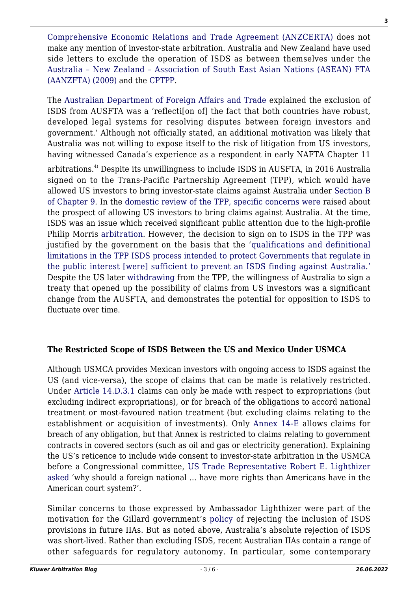[Comprehensive Economic Relations and Trade Agreement \(ANZCERTA\)](http://www.austlii.edu.au/au/other/dfat/treaties/ATS/2013/10.html) does not make any mention of investor-state arbitration. Australia and New Zealand have used side letters to exclude the operation of ISDS as between themselves under the [Australia – New Zealand – Association of South East Asian Nations \(ASEAN\) FTA](https://www.dfat.gov.au/sites/default/files/minlet_aust.pdf) [\(AANZFTA\) \(2009\)](https://www.dfat.gov.au/sites/default/files/minlet_aust.pdf) and the [CPTPP.](https://www.dfat.gov.au/sites/default/files/sl15-australia-new-zealand-isds.pdf)

The [Australian Department of Foreign Affairs and Trade](https://www.dfat.gov.au/trade/agreements/in-force/ausfta/fact-sheets/Pages/investment) explained the exclusion of ISDS from AUSFTA was a 'reflecti[on of] the fact that both countries have robust, developed legal systems for resolving disputes between foreign investors and government.' Although not officially stated, an additional motivation was likely that Australia was not willing to expose itself to the risk of litigation from US investors, having witnessed Canada's experience as a respondent in early NAFTA Chapter 11

arbitrations.4) Despite its unwillingness to include ISDS in AUSFTA, in 2016 Australia signed on to the Trans-Pacific Partnership Agreement (TPP), which would have allowed US investors to bring investor-state claims against Australia under [Section B](https://www.mfat.govt.nz/assets/Trans-Pacific-Partnership/Text/9.-Investment-Chapter.pdf#page=19) [of Chapter 9](https://www.mfat.govt.nz/assets/Trans-Pacific-Partnership/Text/9.-Investment-Chapter.pdf#page=19). In the [domestic review of the TPP, specific concerns were](https://parlinfo.aph.gov.au/parlInfo/download/committees/reportjnt/024012/toc_pdf/Report165.pdf;fileType=application%2Fpdf#page=81) raised about the prospect of allowing US investors to bring claims against Australia. At the time, ISDS was an issue which received significant public attention due to the high-profile Philip Morris [arbitration.](https://www.italaw.com/cases/851) However, the decision to sign on to ISDS in the TPP was justified by the government on the basis that the '[qualifications and definitional](https://parlinfo.aph.gov.au/parlInfo/download/committees/reportjnt/024012/toc_pdf/Report165.pdf;fileType=application%2Fpdf#page=80) [limitations in the TPP ISDS process intended to protect Governments that regulate in](https://parlinfo.aph.gov.au/parlInfo/download/committees/reportjnt/024012/toc_pdf/Report165.pdf;fileType=application%2Fpdf#page=80) [the public interest \[were\] sufficient to prevent an ISDS finding against Australia.'](https://parlinfo.aph.gov.au/parlInfo/download/committees/reportjnt/024012/toc_pdf/Report165.pdf;fileType=application%2Fpdf#page=80) Despite the US later [withdrawing](https://ustr.gov/sites/default/files/files/Press/Releases/1-30-17%20USTR%20Letter%20to%20TPP%20Depositary.pdf) from the TPP, the willingness of Australia to sign a treaty that opened up the possibility of claims from US investors was a significant change from the AUSFTA, and demonstrates the potential for opposition to ISDS to fluctuate over time.

# **The Restricted Scope of ISDS Between the US and Mexico Under USMCA**

Although USMCA provides Mexican investors with ongoing access to ISDS against the US (and vice-versa), the scope of claims that can be made is relatively restricted. Under [Article 14.D.3.1](https://ustr.gov/sites/default/files/files/agreements/FTA/USMCA/Text/14-Investment.pdf#page=20) claims can only be made with respect to expropriations (but excluding indirect expropriations), or for breach of the obligations to accord national treatment or most-favoured nation treatment (but excluding claims relating to the establishment or acquisition of investments). Only [Annex 14-E](https://ustr.gov/sites/default/files/files/agreements/FTA/USMCA/Text/14-Investment.pdf#page=38) allows claims for breach of any obligation, but that Annex is restricted to claims relating to government contracts in covered sectors (such as oil and gas or electricity generation). Explaining the US's reticence to include wide consent to investor-state arbitration in the USMCA before a Congressional committee, [US Trade Representative Robert E. Lighthizer](https://docs.house.gov/meetings/WM/WM00/20180321/108050/HHRG-115-WM00-Transcript-20180321.pdf#page=20) [asked](https://docs.house.gov/meetings/WM/WM00/20180321/108050/HHRG-115-WM00-Transcript-20180321.pdf#page=20) 'why should a foreign national … have more rights than Americans have in the American court system?'.

Similar concerns to those expressed by Ambassador Lighthizer were part of the motivation for the Gillard government's [policy](https://web.archive.org.au/awa/20110502020942mp_/http:/pandora.nla.gov.au/pan/126547/20110502-1209/www.dfat.gov.au/publications/trade/trading-our-way-to-more-jobs-and-prosperity.pdf#page=16) of rejecting the inclusion of ISDS provisions in future IIAs. But as noted above, Australia's absolute rejection of ISDS was short-lived. Rather than excluding ISDS, recent Australian IIAs contain a range of other safeguards for regulatory autonomy. In particular, some contemporary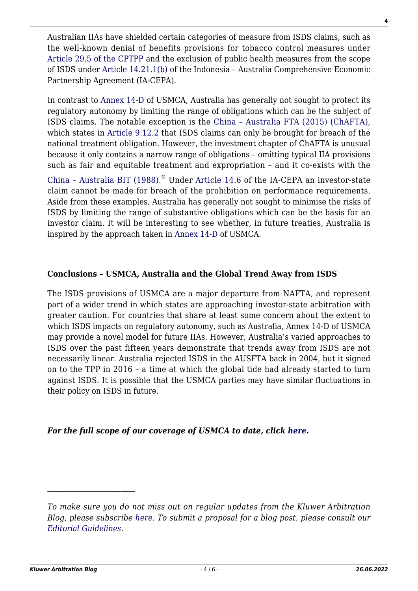Australian IIAs have shielded certain categories of measure from ISDS claims, such as the well-known denial of benefits provisions for tobacco control measures under [Article 29.5 of the CPTPP](https://www.dfat.gov.au/sites/default/files/29-exceptions-and-general-provisions.pdf#page=9) and the exclusion of public health measures from the scope of ISDS under [Article 14.21.1\(b\)](https://www.dfat.gov.au/sites/default/files/iacepa-chapter-14-investment.pdf#page=16) of the Indonesia – Australia Comprehensive Economic Partnership Agreement (IA-CEPA).

In contrast to [Annex 14-D](https://ustr.gov/sites/default/files/files/agreements/FTA/USMCA/Text/14-Investment.pdf#page=20) of USMCA, Australia has generally not sought to protect its regulatory autonomy by limiting the range of obligations which can be the subject of ISDS claims. The notable exception is the [China – Australia FTA \(2015\) \(ChAFTA\),](https://www.dfat.gov.au/sites/default/files/chafta-agreement-text.pdf) which states in [Article 9.12.2](https://www.dfat.gov.au/sites/default/files/chafta-chapter-9-investment.pdf#page=10) that ISDS claims can only be brought for breach of the national treatment obligation. However, the investment chapter of ChAFTA is unusual because it only contains a narrow range of obligations – omitting typical IIA provisions such as fair and equitable treatment and expropriation – and it co-exists with the

[China – Australia BIT \(1988\)](http://www.austlii.edu.au/au/other/dfat/treaties/1988/14.html). 5) Under [Article 14.6](https://www.dfat.gov.au/sites/default/files/iacepa-chapter-14-investment.pdf#page=5) of the IA-CEPA an investor-state claim cannot be made for breach of the prohibition on performance requirements. Aside from these examples, Australia has generally not sought to minimise the risks of ISDS by limiting the range of substantive obligations which can be the basis for an investor claim. It will be interesting to see whether, in future treaties, Australia is inspired by the approach taken in [Annex 14-D](https://ustr.gov/sites/default/files/files/agreements/FTA/USMCA/Text/14-Investment.pdf#page=20) of USMCA.

## **Conclusions – USMCA, Australia and the Global Trend Away from ISDS**

The ISDS provisions of USMCA are a major departure from NAFTA, and represent part of a wider trend in which states are approaching investor-state arbitration with greater caution. For countries that share at least some concern about the extent to which ISDS impacts on regulatory autonomy, such as Australia, Annex 14-D of USMCA may provide a novel model for future IIAs. However, Australia's varied approaches to ISDS over the past fifteen years demonstrate that trends away from ISDS are not necessarily linear. Australia rejected ISDS in the AUSFTA back in 2004, but it signed on to the TPP in 2016 – a time at which the global tide had already started to turn against ISDS. It is possible that the USMCA parties may have similar fluctuations in their policy on ISDS in future.

### *For the full scope of our coverage of USMCA to date, click [here](http://arbitrationblog.kluwerarbitration.com/category/usmca/?doing_wp_cron=1591675178.5335190296173095703125).*

*To make sure you do not miss out on regular updates from the Kluwer Arbitration Blog, please subscribe [here](http://arbitrationblog.kluwerarbitration.com/newsletter/). To submit a proposal for a blog post, please consult our [Editorial Guidelines.](http://arbitrationblog.kluwerarbitration.com/editorial-guidelines/)*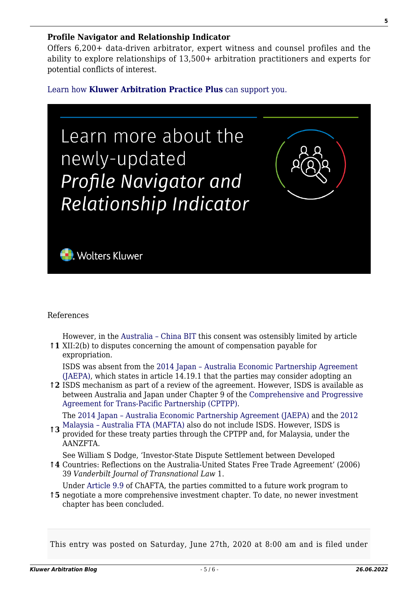#### **Profile Navigator and Relationship Indicator**

Offers 6,200+ data-driven arbitrator, expert witness and counsel profiles and the ability to explore relationships of 13,500+ arbitration practitioners and experts for potential conflicts of interest.

[Learn how](https://www.wolterskluwer.com/en/solutions/kluwerarbitration/practiceplus?utm_source=arbitrationblog&utm_medium=articleCTA&utm_campaign=article-banner) **[Kluwer Arbitration Practice Plus](https://www.wolterskluwer.com/en/solutions/kluwerarbitration/practiceplus?utm_source=arbitrationblog&utm_medium=articleCTA&utm_campaign=article-banner)** [can support you.](https://www.wolterskluwer.com/en/solutions/kluwerarbitration/practiceplus?utm_source=arbitrationblog&utm_medium=articleCTA&utm_campaign=article-banner)



### References

**↑1** XII:2(b) to disputes concerning the amount of compensation payable for However, in the [Australia – China BIT](http://www.austlii.edu.au/au/other/dfat/treaties/1988/14.html) this consent was ostensibly limited by article expropriation.

ISDS was absent from the [2014 Japan – Australia Economic Partnership Agreement](https://www.dfat.gov.au/sites/default/files/jaepa-chapters-1-to-20.pdf) [\(JAEPA\),](https://www.dfat.gov.au/sites/default/files/jaepa-chapters-1-to-20.pdf) which states in article 14.19.1 that the parties may consider adopting an

**↑2** ISDS mechanism as part of a review of the agreement. However, ISDS is available as between Australia and Japan under Chapter 9 of the [Comprehensive and Progressive](https://www.dfat.gov.au/sites/default/files/9-investment.pdf) [Agreement for Trans-Pacific Partnership \(CPTPP\)](https://www.dfat.gov.au/sites/default/files/9-investment.pdf).

**the [Malaysia – Australia FTA \(MAFTA\)](https://www.dfat.gov.au/trade/agreements/in-force/mafta/Pages/malaysia-australia-free-trade-agreement#chap_12) also do not include ISDS. However, ISDS is<br>the CDTDD and far Malaysia, under the contract the CDTDD and far Malaysia, under the contract of the Malaysia surface in the contract of the** The [2014 Japan – Australia Economic Partnership Agreement \(JAEPA\)](https://www.dfat.gov.au/sites/default/files/jaepa-chapters-1-to-20.pdf) and the [2012](https://www.dfat.gov.au/trade/agreements/in-force/mafta/Pages/malaysia-australia-free-trade-agreement#chap_12)

provided for these treaty parties through the CPTPP and, for Malaysia, under the AANZFTA.

See William S Dodge, 'Investor-State Dispute Settlement between Developed

**↑4** Countries: Reflections on the Australia-United States Free Trade Agreement' (2006) 39 *Vanderbilt Journal of Transnational Law* 1.

Under [Article 9.9](https://www.dfat.gov.au/sites/default/files/chafta-chapter-9-investment.pdf#page=7) of ChAFTA, the parties committed to a future work program to

**↑5** negotiate a more comprehensive investment chapter. To date, no newer investment chapter has been concluded.

This entry was posted on Saturday, June 27th, 2020 at 8:00 am and is filed under